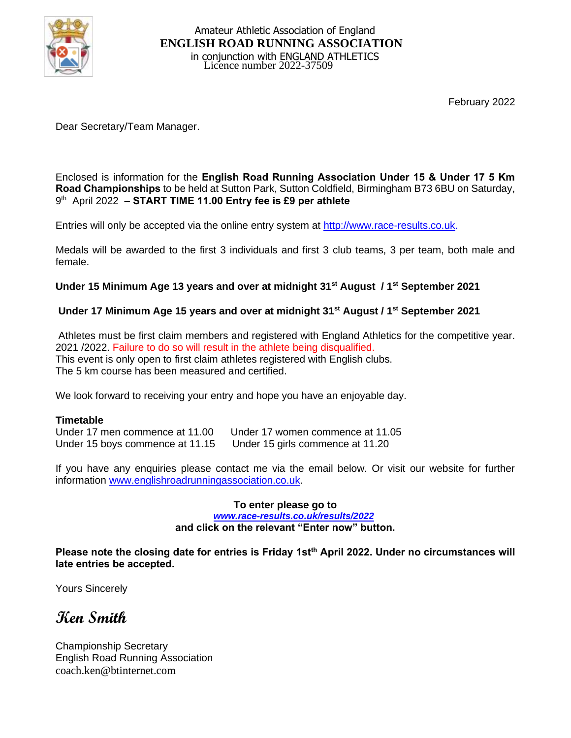

February 2022

Dear Secretary/Team Manager.

Enclosed is information for the **English Road Running Association Under 15 & Under 17 5 Km Road Championships** to be held at Sutton Park, Sutton Coldfield, Birmingham B73 6BU on Saturday, 9 th April 2022 – **START TIME 11.00 Entry fee is £9 per athlete**

Entries will only be accepted via the online entry system at [http://www.race-results.co.uk.](http://www.race-results.co.uk/results/2013/)

Medals will be awarded to the first 3 individuals and first 3 club teams, 3 per team, both male and female.

## **Under 15 Minimum Age 13 years and over at midnight 31st August / 1st September 2021**

## **Under 17 Minimum Age 15 years and over at midnight 31st August / 1st September 2021**

Athletes must be first claim members and registered with England Athletics for the competitive year. 2021 /2022. Failure to do so will result in the athlete being disqualified. This event is only open to first claim athletes registered with English clubs. The 5 km course has been measured and certified.

We look forward to receiving your entry and hope you have an enjoyable day.

**Timetable**<br>Under 17 men commence at 11.00 Under 17 women commence at 11.05 Under 15 boys commence at 11.15 Under 15 girls commence at 11.20

If you have any enquiries please contact me via the email below. Or visit our website for further information www.englishroadrunningassociation.co.uk.

#### **To enter please go to** *www.race-results.co.uk/results/2022* **and click on the relevant "Enter now" button.**

**Please note the closing date for entries is Friday 1stth April 2022. Under no circumstances will late entries be accepted.**

Yours Sincerely

**Ken Smith**

Championship Secretary English Road Running Association coach.ken@btinternet.com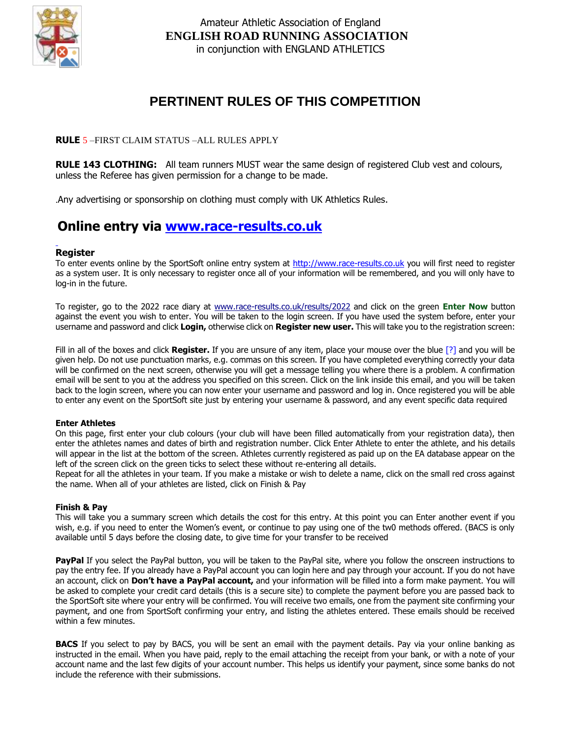

# **PERTINENT RULES OF THIS COMPETITION**

### **RULE** 5 –FIRST CLAIM STATUS –ALL RULES APPLY

**RULE 143 CLOTHING:** All team runners MUST wear the same design of registered Club vest and colours, unless the Referee has given permission for a change to be made.

.Any advertising or sponsorship on clothing must comply with UK Athletics Rules.

# **Online entry via [www.race-results.co.uk](http://www.race-results.co.uk/)**

#### **Register**

To enter events online by the SportSoft online entry system at [http://www.race-results.co.uk](http://www.race-results.co.uk/results/2013/) you will first need to register as a system user. It is only necessary to register once all of your information will be remembered, and you will only have to log-in in the future.

To register, go to the 2022 race diary at www.race-results.co.uk/results/2022 and click on the green **Enter Now** button against the event you wish to enter. You will be taken to the login screen. If you have used the system before, enter your username and password and click **Login,** otherwise click on **Register new user.** This will take you to the registration screen:

Fill in all of the boxes and click **Register.** If you are unsure of any item, place your mouse over the blue [?] and you will be given help. Do not use punctuation marks, e.g. commas on this screen. If you have completed everything correctly your data will be confirmed on the next screen, otherwise you will get a message telling you where there is a problem. A confirmation email will be sent to you at the address you specified on this screen. Click on the link inside this email, and you will be taken back to the login screen, where you can now enter your username and password and log in. Once registered you will be able to enter any event on the SportSoft site just by entering your username & password, and any event specific data required

#### **Enter Athletes**

On this page, first enter your club colours (your club will have been filled automatically from your registration data), then enter the athletes names and dates of birth and registration number. Click Enter Athlete to enter the athlete, and his details will appear in the list at the bottom of the screen. Athletes currently registered as paid up on the EA database appear on the left of the screen click on the green ticks to select these without re-entering all details.

Repeat for all the athletes in your team. If you make a mistake or wish to delete a name, click on the small red cross against the name. When all of your athletes are listed, click on Finish & Pay

#### **Finish & Pay**

This will take you a summary screen which details the cost for this entry. At this point you can Enter another event if you wish, e.g. if you need to enter the Women's event, or continue to pay using one of the tw0 methods offered. (BACS is only available until 5 days before the closing date, to give time for your transfer to be received

**PayPal** If you select the PayPal button, you will be taken to the PayPal site, where you follow the onscreen instructions to pay the entry fee. If you already have a PayPal account you can login here and pay through your account. If you do not have an account, click on **Don't have a PayPal account,** and your information will be filled into a form make payment. You will be asked to complete your credit card details (this is a secure site) to complete the payment before you are passed back to the SportSoft site where your entry will be confirmed. You will receive two emails, one from the payment site confirming your payment, and one from SportSoft confirming your entry, and listing the athletes entered. These emails should be received within a few minutes.

**BACS** If you select to pay by BACS, you will be sent an email with the payment details. Pay via your online banking as instructed in the email. When you have paid, reply to the email attaching the receipt from your bank, or with a note of your account name and the last few digits of your account number. This helps us identify your payment, since some banks do not include the reference with their submissions.